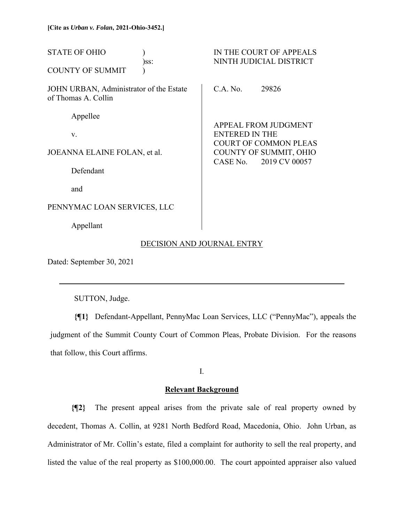| <b>STATE OF OHIO</b><br>)ss:                                   | IN THE COURT OF APPEALS<br>NINTH JUDICIAL DISTRICT    |
|----------------------------------------------------------------|-------------------------------------------------------|
| <b>COUNTY OF SUMMIT</b>                                        |                                                       |
| JOHN URBAN, Administrator of the Estate<br>of Thomas A. Collin | C.A. No.<br>29826                                     |
| Appellee                                                       | <b>APPEAL FROM JUDGMENT</b>                           |
| V.                                                             | <b>ENTERED IN THE</b><br><b>COURT OF COMMON PLEAS</b> |
| JOEANNA ELAINE FOLAN, et al.                                   | COUNTY OF SUMMIT, OHIO<br>2019 CV 00057<br>CASE No.   |
| Defendant                                                      |                                                       |
| and                                                            |                                                       |
| PENNYMAC LOAN SERVICES, LLC                                    |                                                       |

Appellant

## DECISION AND JOURNAL ENTRY

Dated: September 30, 2021

l

SUTTON, Judge.

**{¶1}** Defendant-Appellant, PennyMac Loan Services, LLC ("PennyMac"), appeals the judgment of the Summit County Court of Common Pleas, Probate Division. For the reasons that follow, this Court affirms.

I.

## **Relevant Background**

**{¶2}** The present appeal arises from the private sale of real property owned by decedent, Thomas A. Collin, at 9281 North Bedford Road, Macedonia, Ohio. John Urban, as Administrator of Mr. Collin's estate, filed a complaint for authority to sell the real property, and listed the value of the real property as \$100,000.00. The court appointed appraiser also valued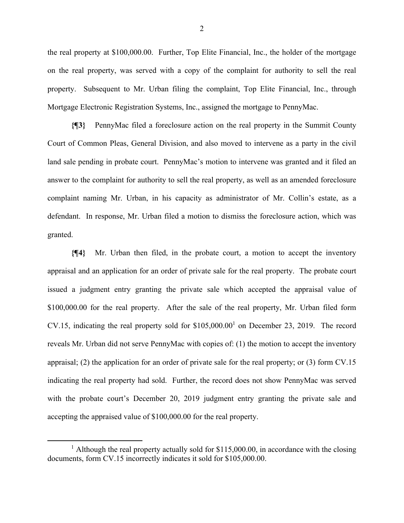the real property at \$100,000.00. Further, Top Elite Financial, Inc., the holder of the mortgage on the real property, was served with a copy of the complaint for authority to sell the real property. Subsequent to Mr. Urban filing the complaint, Top Elite Financial, Inc., through Mortgage Electronic Registration Systems, Inc., assigned the mortgage to PennyMac.

**{¶3}** PennyMac filed a foreclosure action on the real property in the Summit County Court of Common Pleas, General Division, and also moved to intervene as a party in the civil land sale pending in probate court. PennyMac's motion to intervene was granted and it filed an answer to the complaint for authority to sell the real property, as well as an amended foreclosure complaint naming Mr. Urban, in his capacity as administrator of Mr. Collin's estate, as a defendant. In response, Mr. Urban filed a motion to dismiss the foreclosure action, which was granted.

**{¶4}** Mr. Urban then filed, in the probate court, a motion to accept the inventory appraisal and an application for an order of private sale for the real property. The probate court issued a judgment entry granting the private sale which accepted the appraisal value of \$100,000.00 for the real property. After the sale of the real property, Mr. Urban filed form CV.15, indicating the real property sold for  $$105,000.00<sup>1</sup>$  on December 23, 2019. The record reveals Mr. Urban did not serve PennyMac with copies of: (1) the motion to accept the inventory appraisal; (2) the application for an order of private sale for the real property; or (3) form CV.15 indicating the real property had sold. Further, the record does not show PennyMac was served with the probate court's December 20, 2019 judgment entry granting the private sale and accepting the appraised value of \$100,000.00 for the real property.

2

<sup>&</sup>lt;sup>1</sup> Although the real property actually sold for \$115,000.00, in accordance with the closing documents, form CV.15 incorrectly indicates it sold for \$105,000.00.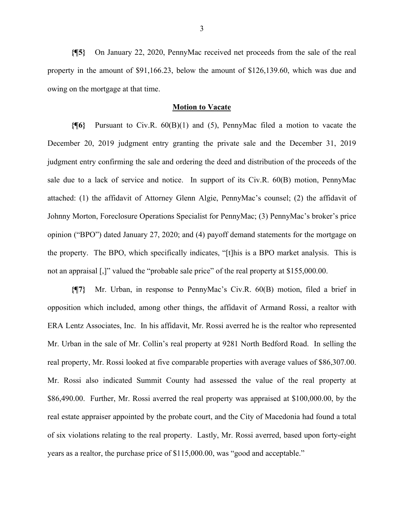**{¶5}** On January 22, 2020, PennyMac received net proceeds from the sale of the real property in the amount of \$91,166.23, below the amount of \$126,139.60, which was due and owing on the mortgage at that time.

### **Motion to Vacate**

**{¶6}** Pursuant to Civ.R. 60(B)(1) and (5), PennyMac filed a motion to vacate the December 20, 2019 judgment entry granting the private sale and the December 31, 2019 judgment entry confirming the sale and ordering the deed and distribution of the proceeds of the sale due to a lack of service and notice. In support of its Civ.R. 60(B) motion, PennyMac attached: (1) the affidavit of Attorney Glenn Algie, PennyMac's counsel; (2) the affidavit of Johnny Morton, Foreclosure Operations Specialist for PennyMac; (3) PennyMac's broker's price opinion ("BPO") dated January 27, 2020; and (4) payoff demand statements for the mortgage on the property. The BPO, which specifically indicates, "[t]his is a BPO market analysis. This is not an appraisal [,]" valued the "probable sale price" of the real property at \$155,000.00.

**{¶7}** Mr. Urban, in response to PennyMac's Civ.R. 60(B) motion, filed a brief in opposition which included, among other things, the affidavit of Armand Rossi, a realtor with ERA Lentz Associates, Inc. In his affidavit, Mr. Rossi averred he is the realtor who represented Mr. Urban in the sale of Mr. Collin's real property at 9281 North Bedford Road. In selling the real property, Mr. Rossi looked at five comparable properties with average values of \$86,307.00. Mr. Rossi also indicated Summit County had assessed the value of the real property at \$86,490.00. Further, Mr. Rossi averred the real property was appraised at \$100,000.00, by the real estate appraiser appointed by the probate court, and the City of Macedonia had found a total of six violations relating to the real property. Lastly, Mr. Rossi averred, based upon forty-eight years as a realtor, the purchase price of \$115,000.00, was "good and acceptable."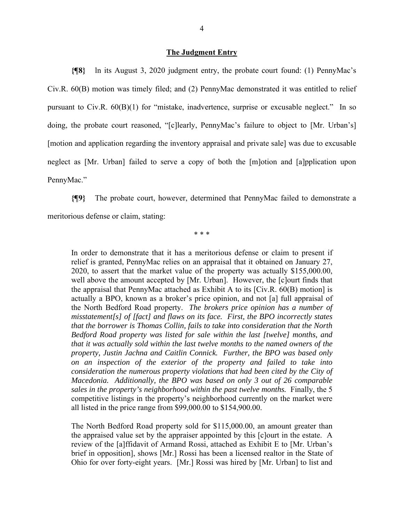### **The Judgment Entry**

**{¶8}** ln its August 3, 2020 judgment entry, the probate court found: (1) PennyMac's Civ.R. 60(B) motion was timely filed; and (2) PennyMac demonstrated it was entitled to relief pursuant to Civ.R.  $60(B)(1)$  for "mistake, inadvertence, surprise or excusable neglect." In so doing, the probate court reasoned, "[c]learly, PennyMac's failure to object to [Mr. Urban's] [motion and application regarding the inventory appraisal and private sale] was due to excusable neglect as [Mr. Urban] failed to serve a copy of both the [m]otion and [a]pplication upon PennyMac."

**{¶9}** The probate court, however, determined that PennyMac failed to demonstrate a meritorious defense or claim, stating:

\* \* \*

In order to demonstrate that it has a meritorious defense or claim to present if relief is granted, PennyMac relies on an appraisal that it obtained on January 27, 2020, to assert that the market value of the property was actually \$155,000.00, well above the amount accepted by [Mr. Urban]. However, the [c]ourt finds that the appraisal that PennyMac attached as Exhibit A to its [Civ.R. 60(B) motion] is actually a BPO, known as a broker's price opinion, and not [a] full appraisal of the North Bedford Road property. *The brokers price opinion has a number of misstatement[s] of [fact] and flaws on its face. First, the BPO incorrectly states that the borrower is Thomas Collin, fails to take into consideration that the North Bedford Road property was listed for sale within the last [twelve] months, and that it was actually sold within the last twelve months to the named owners of the property, Justin Jachna and Caitlin Connick. Further, the BPO was based only on an inspection of the exterior of the property and failed to take into consideration the numerous property violations that had been cited by the City of Macedonia. Additionally, the BPO was based on only 3 out of 26 comparable sales in the property's neighborhood within the past twelve months.* Finally, the 5 competitive listings in the property's neighborhood currently on the market were all listed in the price range from \$99,000.00 to \$154,900.00.

The North Bedford Road property sold for \$115,000.00, an amount greater than the appraised value set by the appraiser appointed by this [c]ourt in the estate. A review of the [a]ffidavit of Armand Rossi, attached as Exhibit E to [Mr. Urban's brief in opposition], shows [Mr.] Rossi has been a licensed realtor in the State of Ohio for over forty-eight years. [Mr.] Rossi was hired by [Mr. Urban] to list and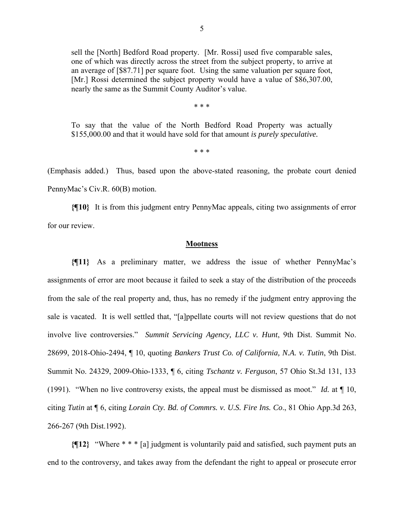sell the [North] Bedford Road property. [Mr. Rossi] used five comparable sales, one of which was directly across the street from the subject property, to arrive at an average of [\$87.71] per square foot. Using the same valuation per square foot, [Mr.] Rossi determined the subject property would have a value of \$86,307.00, nearly the same as the Summit County Auditor's value.

\* \* \*

To say that the value of the North Bedford Road Property was actually \$155,000.00 and that it would have sold for that amount *is purely speculative.* 

\* \* \*

(Emphasis added.) Thus, based upon the above-stated reasoning, the probate court denied PennyMac's Civ.R. 60(B) motion.

**{¶10}** It is from this judgment entry PennyMac appeals, citing two assignments of error for our review.

### **Mootness**

**{¶11}** As a preliminary matter, we address the issue of whether PennyMac's assignments of error are moot because it failed to seek a stay of the distribution of the proceeds from the sale of the real property and, thus, has no remedy if the judgment entry approving the sale is vacated. It is well settled that, "[a]ppellate courts will not review questions that do not involve live controversies." *Summit Servicing Agency, LLC v. Hunt*, 9th Dist. Summit No. 28699, 2018-Ohio-2494, ¶ 10, quoting *Bankers Trust Co. of California, N.A. v. Tutin*, 9th Dist. Summit No. 24329, 2009-Ohio-1333, ¶ 6, citing *Tschantz v. Ferguson*, 57 Ohio St.3d 131, 133 (1991). "When no live controversy exists, the appeal must be dismissed as moot." *Id.* at ¶ 10, citing *Tutin* at ¶ 6, citing *Lorain Cty. Bd. of Commrs. v. U.S. Fire Ins. Co*., 81 Ohio App.3d 263, 266-267 (9th Dist.1992).

**{¶12}** "Where \* \* \* [a] judgment is voluntarily paid and satisfied, such payment puts an end to the controversy, and takes away from the defendant the right to appeal or prosecute error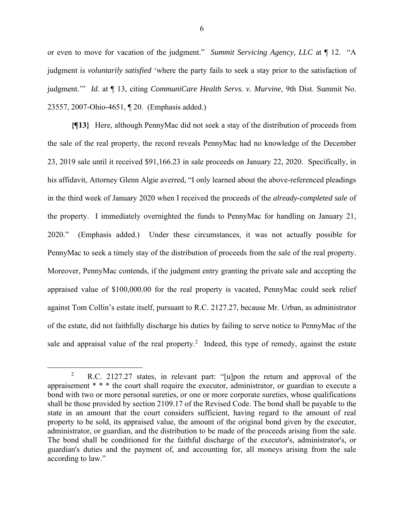or even to move for vacation of the judgment." *Summit Servicing Agency, LLC* at ¶ 12. "A judgment is *voluntarily satisfied* 'where the party fails to seek a stay prior to the satisfaction of judgment.'" *Id*. at ¶ 13, citing *CommuniCare Health Servs. v. Murvine*, 9th Dist. Summit No. 23557, 2007-Ohio-4651, ¶ 20. (Emphasis added.)

**{¶13}** Here, although PennyMac did not seek a stay of the distribution of proceeds from the sale of the real property, the record reveals PennyMac had no knowledge of the December 23, 2019 sale until it received \$91,166.23 in sale proceeds on January 22, 2020. Specifically, in his affidavit, Attorney Glenn Algie averred, "I only learned about the above-referenced pleadings in the third week of January 2020 when I received the proceeds of the *already-completed sale* of the property. I immediately overnighted the funds to PennyMac for handling on January 21, 2020." (Emphasis added.) Under these circumstances, it was not actually possible for PennyMac to seek a timely stay of the distribution of proceeds from the sale of the real property. Moreover, PennyMac contends, if the judgment entry granting the private sale and accepting the appraised value of \$100,000.00 for the real property is vacated, PennyMac could seek relief against Tom Collin's estate itself, pursuant to R.C. 2127.27, because Mr. Urban, as administrator of the estate, did not faithfully discharge his duties by failing to serve notice to PennyMac of the sale and appraisal value of the real property.<sup>2</sup> Indeed, this type of remedy, against the estate

<sup>2</sup> R.C. 2127.27 states, in relevant part: "[u]pon the return and approval of the appraisement \* \* \* the court shall require the executor, administrator, or guardian to execute a bond with two or more personal sureties, or one or more corporate sureties, whose qualifications shall be those provided by section 2109.17 of the Revised Code. The bond shall be payable to the state in an amount that the court considers sufficient, having regard to the amount of real property to be sold, its appraised value, the amount of the original bond given by the executor, administrator, or guardian, and the distribution to be made of the proceeds arising from the sale. The bond shall be conditioned for the faithful discharge of the executor's, administrator's, or guardian's duties and the payment of, and accounting for, all moneys arising from the sale according to law."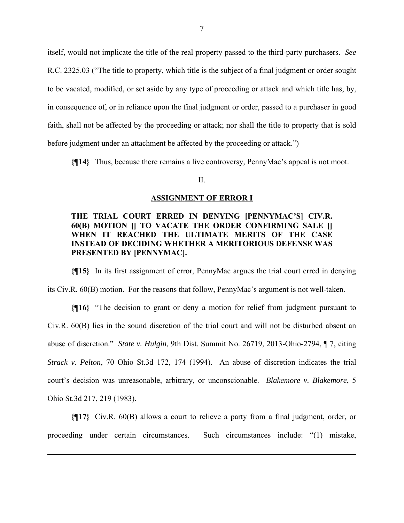itself, would not implicate the title of the real property passed to the third-party purchasers. *See* R.C. 2325.03 ("The title to property, which title is the subject of a final judgment or order sought to be vacated, modified, or set aside by any type of proceeding or attack and which title has, by, in consequence of, or in reliance upon the final judgment or order, passed to a purchaser in good faith, shall not be affected by the proceeding or attack; nor shall the title to property that is sold before judgment under an attachment be affected by the proceeding or attack.")

**{¶14}** Thus, because there remains a live controversy, PennyMac's appeal is not moot.

### II.

#### **ASSIGNMENT OF ERROR I**

## **THE TRIAL COURT ERRED IN DENYING [PENNYMAC'S] CIV.R. 60(B) MOTION [] TO VACATE THE ORDER CONFIRMING SALE [] WHEN IT REACHED THE ULTIMATE MERITS OF THE CASE INSTEAD OF DECIDING WHETHER A MERITORIOUS DEFENSE WAS PRESENTED BY [PENNYMAC].**

**{¶15}** In its first assignment of error, PennyMac argues the trial court erred in denying its Civ.R. 60(B) motion. For the reasons that follow, PennyMac's argument is not well-taken.

**{¶16}** "The decision to grant or deny a motion for relief from judgment pursuant to Civ.R. 60(B) lies in the sound discretion of the trial court and will not be disturbed absent an abuse of discretion." *State v. Hulgin*, 9th Dist. Summit No. 26719, 2013-Ohio-2794, ¶ 7, citing *Strack v. Pelton*, 70 Ohio St.3d 172, 174 (1994). An abuse of discretion indicates the trial court's decision was unreasonable, arbitrary, or unconscionable. *Blakemore v. Blakemore*, 5 Ohio St.3d 217, 219 (1983).

**{¶17}** Civ.R. 60(B) allows a court to relieve a party from a final judgment, order, or proceeding under certain circumstances. Such circumstances include: "(1) mistake,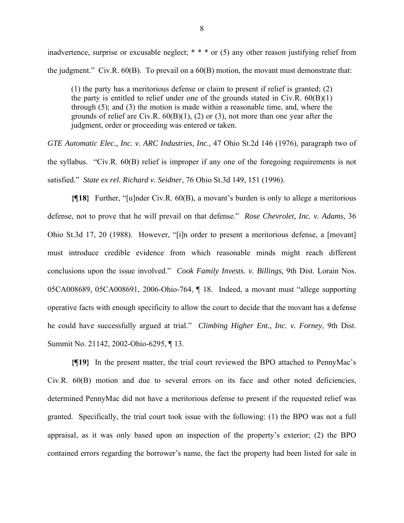inadvertence, surprise or excusable neglect;  $* * *$  or (5) any other reason justifying relief from the judgment." Civ.R. 60(B). To prevail on a 60(B) motion, the movant must demonstrate that:

(1) the party has a meritorious defense or claim to present if relief is granted; (2) the party is entitled to relief under one of the grounds stated in Civ.R.  $60(B)(1)$ through (5); and (3) the motion is made within a reasonable time, and, where the grounds of relief are Civ.R.  $60(B)(1)$ , (2) or (3), not more than one year after the judgment, order or proceeding was entered or taken.

*GTE Automatic Elec., Inc. v. ARC Industries, Inc*., 47 Ohio St.2d 146 (1976), paragraph two of the syllabus. "Civ.R. 60(B) relief is improper if any one of the foregoing requirements is not satisfied." *State ex rel. Richard v. Seidner*, 76 Ohio St.3d 149, 151 (1996).

**{¶18}** Further, "[u]nder Civ.R. 60(B), a movant's burden is only to allege a meritorious defense, not to prove that he will prevail on that defense." *Rose Chevrolet, Inc. v. Adams*, 36 Ohio St.3d 17, 20 (1988). However, "[i]n order to present a meritorious defense, a [movant] must introduce credible evidence from which reasonable minds might reach different conclusions upon the issue involved." *Cook Family Invests. v. Billings,* 9th Dist. Lorain Nos. 05CA008689, 05CA008691, 2006-Ohio-764, ¶ 18. Indeed, a movant must "allege supporting operative facts with enough specificity to allow the court to decide that the movant has a defense he could have successfully argued at trial." *Climbing Higher Ent., Inc. v. Forney*, 9th Dist. Summit No. 21142, 2002-Ohio-6295, ¶ 13.

**{¶19}** In the present matter, the trial court reviewed the BPO attached to PennyMac's Civ.R. 60(B) motion and due to several errors on its face and other noted deficiencies, determined PennyMac did not have a meritorious defense to present if the requested relief was granted. Specifically, the trial court took issue with the following: (1) the BPO was not a full appraisal, as it was only based upon an inspection of the property's exterior; (2) the BPO contained errors regarding the borrower's name, the fact the property had been listed for sale in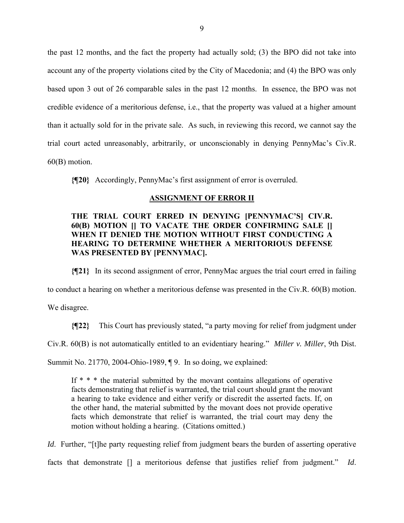the past 12 months, and the fact the property had actually sold; (3) the BPO did not take into account any of the property violations cited by the City of Macedonia; and (4) the BPO was only based upon 3 out of 26 comparable sales in the past 12 months. In essence, the BPO was not credible evidence of a meritorious defense, i.e., that the property was valued at a higher amount than it actually sold for in the private sale. As such, in reviewing this record, we cannot say the trial court acted unreasonably, arbitrarily, or unconscionably in denying PennyMac's Civ.R. 60(B) motion.

**{¶20}** Accordingly, PennyMac's first assignment of error is overruled.

## **ASSIGNMENT OF ERROR II**

# **THE TRIAL COURT ERRED IN DENYING [PENNYMAC'S] CIV.R. 60(B) MOTION [] TO VACATE THE ORDER CONFIRMING SALE [] WHEN IT DENIED THE MOTION WITHOUT FIRST CONDUCTING A HEARING TO DETERMINE WHETHER A MERITORIOUS DEFENSE WAS PRESENTED BY [PENNYMAC].**

**{¶21}** In its second assignment of error, PennyMac argues the trial court erred in failing

to conduct a hearing on whether a meritorious defense was presented in the Civ.R. 60(B) motion.

We disagree.

**{¶22}** This Court has previously stated, "a party moving for relief from judgment under

Civ.R. 60(B) is not automatically entitled to an evidentiary hearing." *Miller v. Miller*, 9th Dist.

Summit No. 21770, 2004-Ohio-1989, ¶ 9. In so doing, we explained:

If \* \* \* the material submitted by the movant contains allegations of operative facts demonstrating that relief is warranted, the trial court should grant the movant a hearing to take evidence and either verify or discredit the asserted facts. If, on the other hand, the material submitted by the movant does not provide operative facts which demonstrate that relief is warranted, the trial court may deny the motion without holding a hearing. (Citations omitted.)

*Id.* Further, "[t]he party requesting relief from judgment bears the burden of asserting operative facts that demonstrate [] a meritorious defense that justifies relief from judgment." *Id*.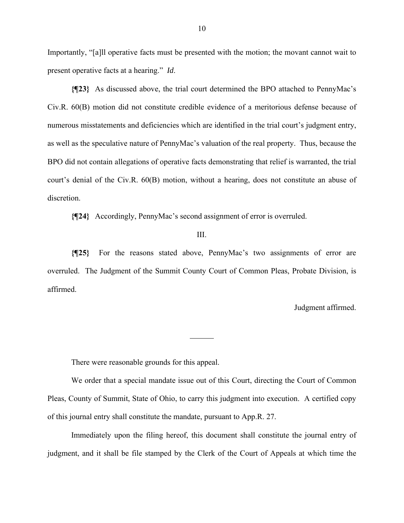Importantly, "[a]ll operative facts must be presented with the motion; the movant cannot wait to present operative facts at a hearing." *Id*.

**{¶23}** As discussed above, the trial court determined the BPO attached to PennyMac's Civ.R. 60(B) motion did not constitute credible evidence of a meritorious defense because of numerous misstatements and deficiencies which are identified in the trial court's judgment entry, as well as the speculative nature of PennyMac's valuation of the real property. Thus, because the BPO did not contain allegations of operative facts demonstrating that relief is warranted, the trial court's denial of the Civ.R. 60(B) motion, without a hearing, does not constitute an abuse of discretion.

**{¶24}** Accordingly, PennyMac's second assignment of error is overruled.

III.

**{¶25}** For the reasons stated above, PennyMac's two assignments of error are overruled. The Judgment of the Summit County Court of Common Pleas, Probate Division, is affirmed.

 $\overline{a}$ 

Judgment affirmed.

There were reasonable grounds for this appeal.

 We order that a special mandate issue out of this Court, directing the Court of Common Pleas, County of Summit, State of Ohio, to carry this judgment into execution. A certified copy of this journal entry shall constitute the mandate, pursuant to App.R. 27.

 Immediately upon the filing hereof, this document shall constitute the journal entry of judgment, and it shall be file stamped by the Clerk of the Court of Appeals at which time the